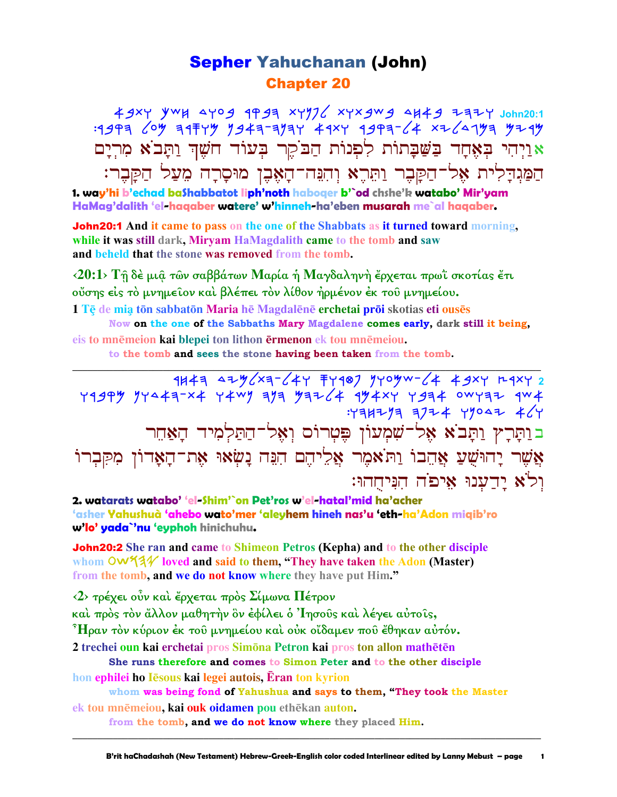## Sepher Yahuchanan (John) Chapter 20

49xy ywh 4yog 1993 xyy76 xyxgwg 4H49 737Y John20:1 :rbqh lom hrswm nbah-hnhw artw rbqh-la tyldgmh myrm יִיהִי בִּאֵּחָד בַּשֵּׁבָתוֹת לִפְנוֹת הַבֹקֶר בְּעוֹד חֹשֶׁךְ וַתָּבֹא מִרְיָם $\mathbf x$ הַמַּגִדַלִית אֵל־הַקָּבֶר וַתִּרְא וְהִנֵּה־הָאֶבֶן מוּסָרָה מִעַל הַקָּבֶר: **1. way'hi b'echad baShabbatot liph'noth haboqer b'`od chshe'k watabo' Mir'yam**

**HaMag'dalith 'el-haqaber watere' w'hinneh-ha'eben musarah me`al haqaber.**

John20:1 **And it came to pass on the one of the Shabbats as it turned toward morning, while it was still dark, Miryam HaMagdalith came to the tomb and saw and beheld that the stone was removed from the tomb.** 

**‹20:1› Τῇ δὲ µιᾷ τῶν σαββάτων Μαρία ἡ Μαγδαληνὴ ἔρχεται πρωῒ σκοτίας ἔτι οὔσης εἰς τὸ µνηµεῖον καὶ βλέπει τὸν λίθον ἠρµένον ἐκ τοῦ µνηµείου.**  1 Tē de mia tōn sabbatōn Maria hē Magdalēnē erchetai prōi skotias eti ousēs

**Now on the one of the Sabbaths Mary Magdalene comes early, dark still it being, eis** to mnēmeion kai blepei ton lithon **Frmenon ek** tou mnēmeiou.

**\_\_\_\_\_\_\_\_\_\_\_\_\_\_\_\_\_\_\_\_\_\_\_\_\_\_\_\_\_\_\_\_\_\_\_\_\_\_\_\_\_\_\_\_\_\_\_\_\_\_\_\_\_\_\_\_\_\_\_\_\_\_\_\_\_\_\_\_\_\_\_\_\_\_\_\_\_\_\_\_\_\_\_\_\_\_\_\_\_\_\_\_\_**

**to the tomb and sees the stone having been taken from the tomb.** 

 rjah dymlth-law swrfp nwomc-la abtw ertw **2**   $Y$ 1994 1744 - X4 744 1945 1946 1944 1944 1944 1944  $:Y3H773 3774 49047 4$ בותָּרָץ וַתָּבֹא אֶל־שִׁמְעוֹן פֵּטְרוֹס וְאֵל־הַתַּלְמִיד הַאַחֵר אַשֵׁר יַהוּשֵׁעַ אֲהֵבוֹ וַתֹּאמֵר אֲלִיהֵם הִנֵּה נָשְׂאוּ אֶת־הָאָדוֹן מִקִּבְרוֹ וִל<sup>ֹ</sup>א יַדֲעָנוּ אֵיפֹה הִנִּיחֲהוּ:

**2. watarats watabo' 'el-Shim'`on Pet'ros w'el-hatal'mid ha'acher 'asher Yahushuà 'ahebo wato'mer 'aleyhem hineh nas'u 'eth-ha'Adon miqib'ro w'lo' yada`'nu 'eyphoh hinichuhu.**

John20:2 **She ran and came to Shimeon Petros (Kepha) and to the other disciple**  whom **OWS** 3<sup>1</sup> loved and said to them, "They have taken the Adon (Master) **from the tomb, and we do not know where they have put Him."** 

**‹2› τρέχει οὖν καὶ ἔρχεται πρὸς Σίµωνα Πέτρον** 

**καὶ πρὸς τὸν ἄλλον µαθητὴν ὃν ἐφίλει ὁ Ἰησοῦς καὶ λέγει αὐτοῖς,** 

**Ἦραν τὸν κύριον ἐκ τοῦ µνηµείου καὶ οὐκ οἴδαµεν ποῦ ἔθηκαν αὐτόν.** 

**2 trechei oun kai erchetai** pros Simōna Petron kai pros ton allon mathētēn **She runs therefore and comes to Simon Peter and to the other disciple**

**hon ephilei ho I esous kai legei autois, Eran ton kyrion** 

**whom was being fond of Yahushua and says to them, "They took the Master ek tou mnēmeiou, kai ouk oidamen** pou ethēkan **auton**.

**\_\_\_\_\_\_\_\_\_\_\_\_\_\_\_\_\_\_\_\_\_\_\_\_\_\_\_\_\_\_\_\_\_\_\_\_\_\_\_\_\_\_\_\_\_\_\_\_\_\_\_\_\_\_\_\_\_\_\_\_\_\_\_\_\_\_\_\_\_\_\_\_\_\_\_\_\_\_\_\_\_\_\_\_\_\_\_\_\_\_\_\_\_**

**from the tomb, and we do not know where they placed Him.**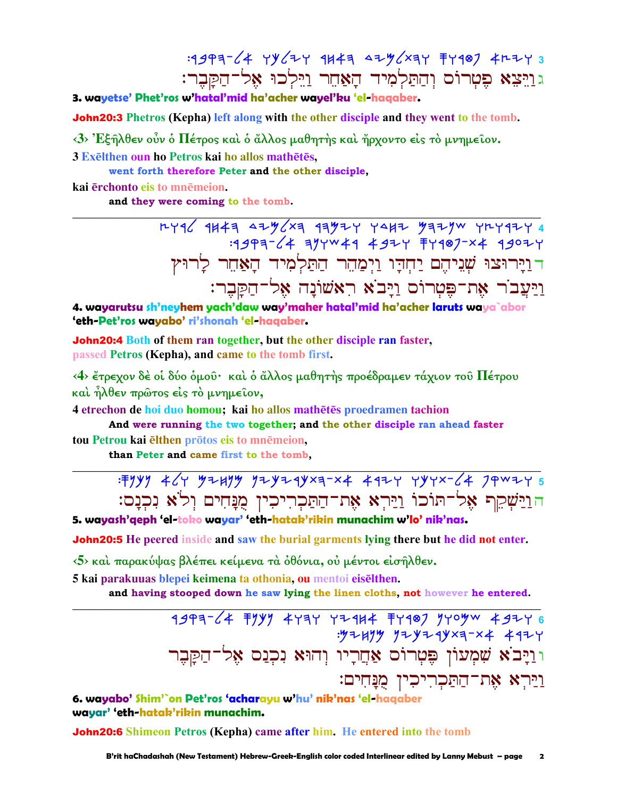$14993 - 4$  YY  $4$  YY  $443 - 47$   $47$   $73$ גוַיִּצֵא פֵטְרוֹס וְהַתַּלְמְיד הָאֲחֶר וַיֵּלְכוּ אֶל־הַקַּבֵר:

3. wavetse' Phet'ros w'hatal'mid ha'acher wavel'ku 'el-haaaber

**John20:3** Phetros (Kepha) left along with the other disciple and they went to the tomb.

<3> Έξηλθεν οὖν ο Πέτρος και ο άλλος μαθητής και ήρχοντο είς το μνημείον.

3 Exelthen oun ho Petros kai ho allos mathetes,

went forth therefore Peter and the other disciple.

kai ērchonto eis to mnēmeion.

and they were coming to the tomb.

<u>רוירוצו שניהם יחדו וימהר התלמיד האחר לרוץ</u> וַיַּעֲבוֹר אֶת־פֵּטִרוֹּם וַיָּבֹא רְאַשׁוֹנָה אֵל־הַקַּבֵר:

4. wayarutsu sh'neyhem yach'daw way'maher hatal'mid ha'acher laruts waya`abor 'eth-Pet'ros wayabo' ri'shonah 'el-haqaber.

**John20:4** Both of them ran together, but the other disciple ran faster, passed Petros (Kepha), and came to the tomb first.

<4> έτρεχον δέ οί δύο όμου· και ο άλλος μαθητής προέδραμεν τάχιον του Πέτρου καὶ ἦλθεν πρῶτος είς τὸ μνημεῖον,

4 etrechon de hoi duo homou; kai ho allos mathētēs proedramen tachion

And were running the two together; and the other disciple ran ahead faster tou Petrou kai elthen protos eis to mnemeion.

than Peter and came first to the tomb.

: Fyyy 464 52433 724244xa-x4 4424 747x-64 74x24 5 הוַיַּשְׁקֵף אֱל־תּוֹכוֹ וַיַּרְא אֶת־הַתַּכְרִיכִין מֻנָּחִים וְלֹא נִכְנָם:

5. wayash'qeph 'el-toko wayar' 'eth-hatak'rikin munachim w'lo' nik'nas.

**John20:5** He peered inside and saw the burial garments lying there but he did not enter.

<5> και παρακύψας βλέπει κείμενα τα όθόνια, ού μέντοι εισήλθεν.

5 kai parakuuas blepei keimena ta othonia, ou mentoi eiselthen.

and having stooped down he saw lying the linen cloths, not however he entered.

 $1997 - 4$  Tyyy 4474 4244 T499 yyoyw 49246 : 47247 724 244 244 2447 וּוַיָּבֹא שִׁמְעוֹן פֶּטְרוֹס אַחֲרָיו וִהוּא נִכְנַס אֵל־הִקִּבר <u>וירא את־התקריכין מנחים:</u>

6. wayabo' Shim'`on Pet'ros 'acharayu w'hu' nik'nas 'el-haqaber wavar' 'eth-hatak'rikin munachim.

**John20:6** Shimeon Petros (Kepha) came after him. He entered into the tomb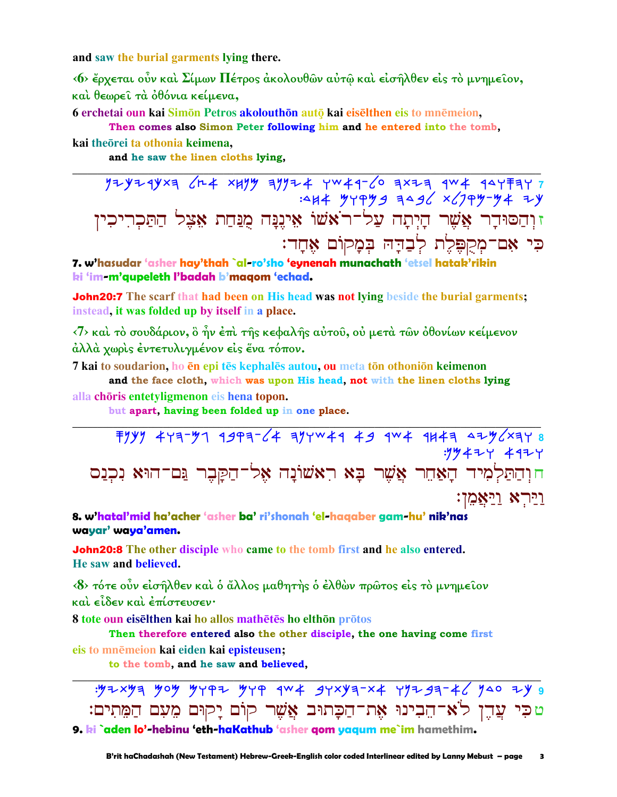and saw the burial garments lying there.

<6> έρχεται ούν καί Σίμων Πέτρος άκολουθών αύτώ και είσηλθεν είς το μνημείον, και θεωρεί τα όθόνια κείμενα,

6 erchetai oun kai Simon Petros akolouthon auto kai eiselthen eis to mnemeion,

Then comes also Simon Peter following him and he entered into the tomb,

kai theorei ta othonia keimena,

and he saw the linen cloths lying,

זוְהַסּוּדַר אֲשֶׁר הַיִתַה עֲל־רֹאשׁוֹ אֵינֵנַּה מְנַחַת אֵצֵל הַתַּכְרִיכְין כִּי אָם־מְקִפֶּלֶת לְבַדָּהּ בְּמָקוֹם אֵחָד:

7. w'hasudar 'asher hay'thah `al-ro'sho 'eynenah munachath 'etsel hatak'rikin ki 'im-m'qupeleth l'badah b'maqom 'echad.

**John20:7** The scarf that had been on His head was not lying beside the burial garments; instead, it was folded up by itself in a place.

 $\langle 7 \rangle$  και το σουδάριον, ο ήν έπι της κεφαλής αύτου, ού μετα των όθονίων κείμενον άλλά χωρίς έντετυλιγμένον είς ένα τόπον.

7 kai to soudarion, ho en epi tes kephales autou, ou meta ton othonion keimenon

and the face cloth, which was upon His head, not with the linen cloths lying alla chōris entetyligmenon eis hena topon.

but apart, having been folded up in one place.

 $799$   $477 - 91$   $1997 - 64$   $197 - 49$   $49$   $404$   $1147$   $412$   $419$ :19427 4927 חוִהַתַּלְמִיד הַאֲחֵר אֲשֵׁר בַּא רִאשׁוֹנָה אֱל־הַקַּבֶר נֵּם־הוּא נִכְנַס וירא וַיַּאֲמֶן:

8. w'hatal'mid ha'acher 'asher ba' ri'shonah 'el-haqaber gam-hu' nik'nas wayar' waya'amen.

**John20:8** The other disciple who came to the tomb first and he also entered. He saw and believed.

<8> τότε ούν είσηλθεν και ο άλλος μαθητής ο ελθών πρώτος είς το μνημείον και είδεν και επίστευσεν·

8 tote oun eiselthen kai ho allos mathetes ho elthon protos

Then therefore entered also the other disciple, the one having come first eis to mnēmeion kai eiden kai episteusen;

to the tomb, and he saw and believed.

טכִּי עֲדֵן לֹא־הֵבִינוּ אֶת־הַכָּתוּב אֲשֶׁר קוֹם יָקוּם מֵעָם הַמֵּתִים: 9. ki `aden lo'-hebinu 'eth-haKathub 'asher gom yaqum me`im hamethim.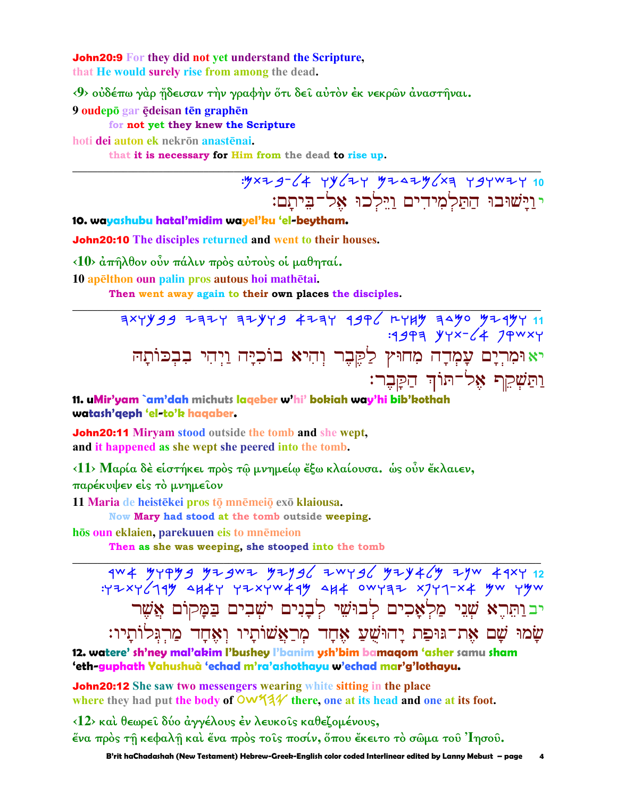**John20:9** For they did not yet understand the Scripture. that He would surely rise from among the dead.

<9> ούδέπω γάρ ήδεισαν την γραφήν ότι δεί αύτον έκ νεκρών άναστήναι.

9 oudepō gar ēdeisan tēn graphēn

## for not yet they knew the Scripture

hoti dei auton ek nekrōn anastēnai.

that it is necessary for Him from the dead to rise up.

: yxz g - (4 Yy (ZY yzszy (xa Y gywzy 10 י וישובו התלמידים וילכו אל־ביתם:

10. wayashubu hatal'midim wayel'ku 'el-beytham.

**John20:10** The disciples returned and went to their houses.

<10> άπήλθον οὖν πάλιν πρός αὐτοὺς οἱ μαθηταί.

10 apelthon oun palin pros autous hoi mathetai.

Then went away again to their own places the disciples.

11 747 749 940 1449 1446 1444 2444 1444 1444 2444<br>1944 14 - 1446 1445: יא וּמִרְיָם עָמְדָה מִחוּץ לַקֶּבֶר וְהִיא בוֹכִיָּה וַיְהִי בִבְכּוֹתָהּ <u>ותֹּשָׁקֵף אָל־תּוֹד הַקַּבֵר:</u>

11. uMir'yam `am'dah michuts laqeber w'hi' bokiah way'hi bib'kothah watash'qeph 'el-to'k haqaber.

**John20:11 Mirvam stood outside the tomb and she wept.** and it happened as she wept she peered into the tomb.

<11> Μαρία δέ είστήκει πρός τῷ μνημείω ἔξω κλαίουσα. ώς οὖν ἔκλαιεν, παρέκυψεν είς το μνημείον

11 Maria de heistēkei pros tō mnēmeiō exō klaiousa.

Now Mary had stood at the tomb outside weeping.

hōs oun eklaien, parekuuen eis to mnēmeion

Then as she was weeping, she stooped into the tomb

: YZXY (149 AH4Y YZXYW449 AH4 OWYAZ XJY1-X4 YW YYW יבותֵרֵא שָׁנֵי מַלְאָכִים לְבוּשִׁי לְבַנִים ישָׁבִים בַּמַקוֹם אֲשֶׁר שָׂמוּ שָׁם אֶת־גּוּפַת יָהוּשָׁעַ אָחָד מִרַאֲשׁוֹתָיו וִאָּחָד מַרִגִּלוֹתָיו:

12. watere' sh'ney mal'akim l'bushey l'banim ysh'bim bamaqom 'asher samu sham 'eth-guphath Yahushuà 'echad m'ra'ashothayu w'echad mar'g'lothayu.

**John20:12** She saw two messengers wearing white sitting in the place where they had put the body of  $\frac{600}{44}$  there, one at its head and one at its foot.

<12> και θεωρεί δύο άγγέλους έν λευκοίς καθεζομένους, ένα πρός τη κεφαλη καί ένα πρός τοις ποσίν, όπου έκειτο τό σώμα του Ίησου.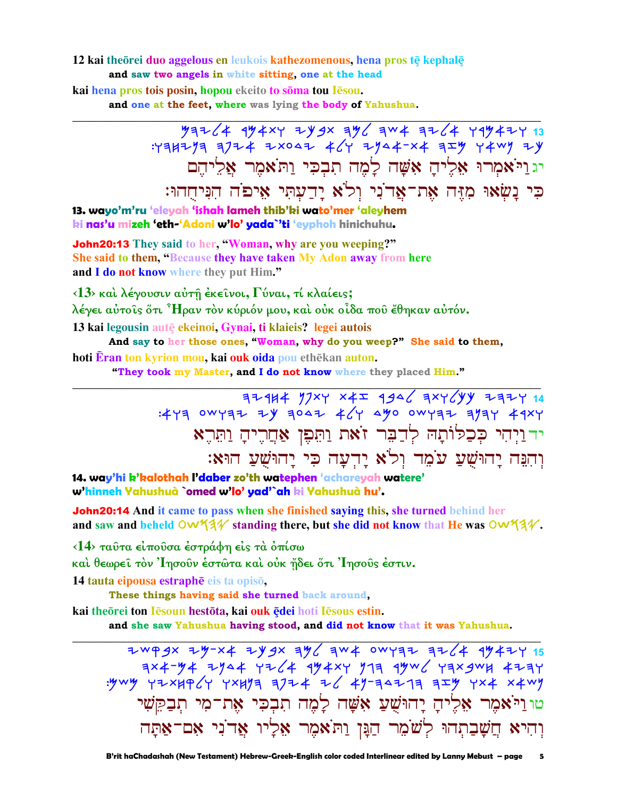#### 12 kai theorei duo aggelous en leukois kathezomenous, hena pros tē kephalē and saw two angels in white sitting, one at the head

kai hena pros tois posin, hopou ekeito to soma tou lesou. and one at the feet, where was lying the body of Yahushua.

> $\frac{y}{77264}$  =  $\frac{y}{77264}$  =  $\frac{y}{7724}$  =  $\frac{y}{7724}$  =  $\frac{y}{7724}$  =  $\frac{y}{7724}$  =  $\frac{y}{7724}$  =  $\frac{y}{7724}$  =  $\frac{y}{7724}$  =  $\frac{y}{7724}$  =  $\frac{y}{7724}$  =  $\frac{y}{7724}$  =  $\frac{y}{7724}$  =  $\frac{y}{7724}$  =  $\frac{y}{772$ יגוי אמרו אליה אשה למה תבכי ותאמר אליהם כִּי נָשָׂאוּ מְזֶה אֶת־אֲדוֹנִי וְלֹא יָדַעְתִּי אִיפֹה הִנִּיחֻהוּ:

13. wayo'm'ru 'eleyah 'ishah lameh thib'ki wato'mer 'aleyhem ki nas'u mizeh 'eth-'Adoni w'lo' yada 'ti 'eyphoh hinichuhu.

**John20:13** They said to her, "Woman, why are you weeping?" She said to them, "Because they have taken My Adon away from here and I do not know where they put Him."

 $\langle 13 \rangle$  και λέγουσιν αύτη έκεινοι, Γύναι, τί κλαίεις;

λέγει αὐτοῖς ὅτι ᠈ Ήραν τὸν κύριόν μου, καὶ οὐκ οἶδα ποῦ ἔθηκαν αὐτόν.

13 kai legousin autē ekeinoi. Gynai, ti klaieis? legei autois

And say to her those ones, "Woman, why do you weep?" She said to them,

hoti Eran ton kyrion mou, kai ouk oida pou ethēkan auton.

"They took my Master, and I do not know where they placed Him."

 $77444$   $774$   $x4 = 946$   $771$ יד ויהי כִּכְלּוֹתָהּ לְדַבֵּר זֹאת וַתֵּפֵן אַחֲרֵיהָ וַתֵּרֵא וְהִנֵּה יָהוּשָׁעַ עֹמֶד וְלֹא יָהִעָּה כִּי יָהוּשָׁעַ הוּאָ:

14. way'hi k'kalothah l'daber zo'th watephen 'achareyah watere' w'hinneh Yahushuà `omed w'lo' yad'`ah ki Yahushuà hu'.

**John20:14** And it came to pass when she finished saying this, she turned behind her and saw and beheld  $\overline{OW34}$  standing there, but she did not know that He was  $\overline{OW34}$ .

<14> ταύτα είπούσα έστράφη είς τα όπίσω

καὶ θεωρεῖ τὸν Ἰησοῦν ἐστῶτα καὶ οὐκ ἤδει ὅτι Ἰησοῦς ἐστιν.

14 tauta eipousa estraphē eis ta opisō,

These things having said she turned back around.

kai theorei ton Iesoun hestota, kai ouk ędei hoti Iesous estin.

and she saw Yahushua having stood, and did not know that it was Yahushua.

2WPSX 2Y-X4 2YSX 3Y 4W4 0WY3Z 3Z 4 9Y4ZY 15 טוניאמר אליה יהוּשָׁעַ אָשָׁה לָמֶה תִבְכִּי אֵת־מִי תִבְקֵשִׁי וְהִיא חֲשָׁבַתְהוּ לְשֹׁמֵר הַגָּן וַתֹּאמֵר אֵלְיוּ אַדוֹנִי אִם־אַתָּה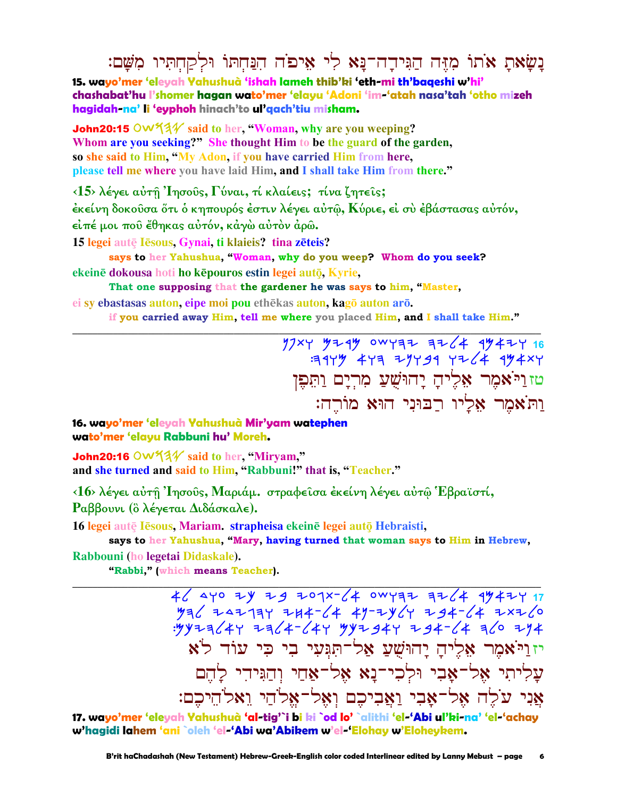# בַשֵׂאת אֹתוֹ מְזֶּה הַגִּיהַדה־בַּא לִי אִיפֹה הִבַּחִתּוֹ וּלִקַחְתִּיוּ מִשָּׁם:

**15. wayo'mer 'eleyah Yahushuà 'ishah lameh thib'ki 'eth-mi th'baqeshi w'hi' chashabat'hu l'shomer hagan wato'mer 'elayu 'Adoni 'im-'atah nasa'tah 'otho mizeh hagidah-na' li 'eyphoh hinach'to ul'qach'tiu misham.**

**John20:15**  $\circ$ w $\frac{4}{4}$  said to her, "Woman, why are you weeping? **Whom are you seeking?" She thought Him to be the guard of the garden, so she said to Him, "My Adon, if you have carried Him from here, please tell me where you have laid Him, and I shall take Him from there."** 

**‹15› λέγει αὐτῇ Ἰησοῦς, Γύναι, τί κλαίεις; τίνα ζητεῖς;** 

**ἐκείνη δοκοῦσα ὅτι ὁ κηπουρός ἐστιν λέγει αὐτῷ, Κύριε, εἰ σὺ ἐβάστασας αὐτόν,** 

**εἰπέ µοι ποῦ ἔθηκας αὐτόν, κἀγὼ αὐτὸν ἀρῶ.** 

**15 legei autÿ Isous, Gynai, ti klaieis? tina zteis?** 

**says to her Yahushua, "Woman, why do you weep? Whom do you seek? ekeinē dokousa hoti ho kēpouros estin legei autō, Kyrie,** 

**That one supposing that the gardener he was says to him, "Master,**

**ei** sy **ebastasas** auton, **eipe** moi pou ethēkas auton, kagō auton arō. **if you carried away Him, tell me where you placed Him, and I shall take Him."** 

**\_\_\_\_\_\_\_\_\_\_\_\_\_\_\_\_\_\_\_\_\_\_\_\_\_\_\_\_\_\_\_\_\_\_\_\_\_\_\_\_\_\_\_\_\_\_\_\_\_\_\_\_\_\_\_\_\_\_\_\_\_\_\_\_\_\_\_\_\_\_\_\_\_\_\_\_\_\_\_\_\_\_\_\_\_\_\_\_\_\_\_\_\_**

 $77$ <sup>xy</sup> 524 0 0 232 32 42 44 45 46  $:117$  471 21791 7264 19487 טז וַי<sup>ּי</sup>אמֶר אֶלִיהַ יַהוּשָׁעַ מִריַם וַתְּפִן וַתֹּאמֶר אָלֵיו רַבּוּנִי הוּא מוֹרֵה:

**16. wayo'mer 'eleyah Yahushuà Mir'yam watephen wato'mer 'elayu Rabbuni hu' Moreh.**

**John20:16 OW 54 V** said to her, "Miryam," **and she turned and said to Him, "Rabbuni!" that is, "Teacher."** 

**‹16› λέγει αὐτῇ Ἰησοῦς, Μαριάµ. στραφεῖσα ἐκείνη λέγει αὐτῷ Ἑβραϊστί, Ραββουνι (ὃ λέγεται ∆ιδάσκαλε).** 

16 legei autę Iesous, Mariam. strapheisa ekeine legei autę Hebraisti,

 **says to her Yahushua, "Mary, having turned that woman says to Him in Hebrew, Rabbouni (ho legetai Didaskale).** 

**\_\_\_\_\_\_\_\_\_\_\_\_\_\_\_\_\_\_\_\_\_\_\_\_\_\_\_\_\_\_\_\_\_\_\_\_\_\_\_\_\_\_\_\_\_\_\_\_\_\_\_\_\_\_\_\_\_\_\_\_\_\_\_\_\_\_\_\_\_\_\_\_\_\_\_\_\_\_\_\_\_\_\_\_\_\_\_\_\_\_\_\_\_**

**"Rabbi," (which means Teacher).** 

46 ayo zy zg zogx-64 owyaz az64 ay4zy 17  $4946$  + 42794 + 44-64 + 49-24 + 94-64 + 2226 :mkyhlaw yhla-law mkybaw yba-la hlo yna יז וַיֹּאמֶר אֶלֵיהַ יַהוּשָׁעַ אֲל־תְּגִּעִי בִי כִּי עוֹד לֹא  $\Pi$ עַליתי אָל־אַבִי וּלְכִי־נַא אָל־אַחַי וְהַגִּידִי לַהֵם אַני עֹלֵה אָל־אַבִי וַאֲבִיכֶם וְאֵל־אֵלֹהֵי וֵאָלֹהֵיכֶם:

**17. wayo'mer 'eleyah Yahushuà 'al-tig'`i bi ki `od lo' `alithi 'el-'Abi ul'ki-na' 'el-'achay w'hagidi lahem 'ani `oleh 'el-'Abi wa'Abikem w'el-'Elohay w'Eloheykem.**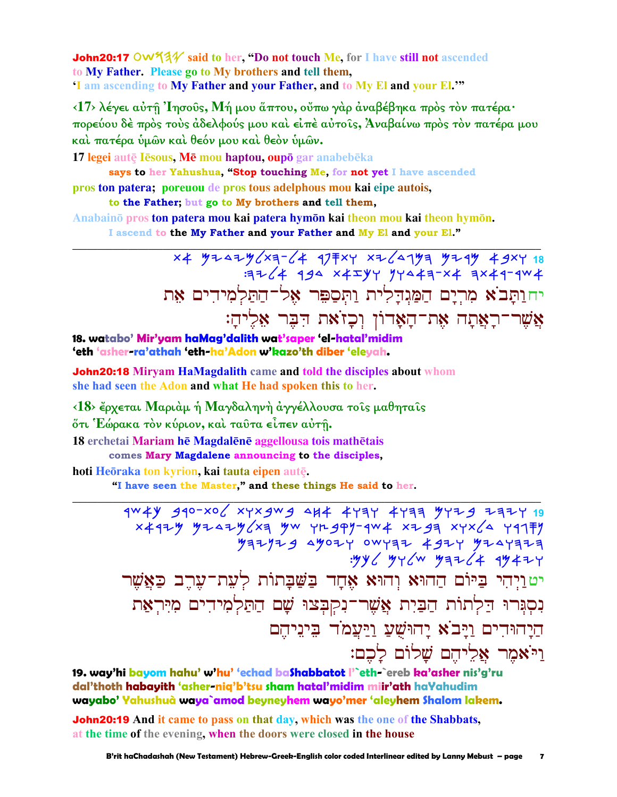**John20:17 OW93** said to her, "Do not touch Me, for I have still not ascended to My Father. Please go to My brothers and tell them, 'I am ascending to My Father and your Father, and to My El and your El.""

<17> λέγει αύτη Ίησούς, Μή μου άπτου, ούπω γάρ άναβέβηκα πρός τον πατέρα· πορεύου δέ πρός τους άδελφούς μου και είπε αύτοις, Άναβαίνω πρός τον πατέρα μου καί πατέρα ύμων καί θεόν μου καί θεόν ύμων.

17 legei autē Iēsous, Mē mou haptou, oupō gar anabebēka says to her Yahushua, "Stop touching Me, for not yet I have ascended

pros ton patera; por eurou de pros tous adelphous mou kai eipe autois, to the Father; but go to My brothers and tell them,

Anabainō pros ton patera mou kai patera hymōn kai theon mou kai theon hymōn. I ascend to the My Father and your Father and My El and your El."

> x4 yz4zy x3-64 97 x2641 yz4y 49xy 18<br>3 3 4 4 194 x4zyy yy443-x4 3x49-4w4 יחותב א מרים המגדלית ותספר אל־התלמידים את אֲשֶׁר־רָאֲתָה אֶת־הָאָדוֹן וְכָזֹאת הִבֵּר אָלֵיהַ:

18. watabo' Mir'yam haMag'dalith wat'saper 'el-hatal'midim 'eth 'asher-ra'athah 'eth-ha'Adon w'kazo'th diber 'eleyah.

**John20:18 Mirvam HaMagdalith came and told the disciples about whom** she had seen the Adon and what He had spoken this to her.

<18> έρχεται Μαριάμ ή Μαγδαληνή άγγέλλουσα τοίς μαθηταίς ότι Έώρακα τὸν κύριον, καὶ ταῦτα εἶπεν αὐτῆ.

18 erchetai Mariam hē Magdalēnē aggellousa tois mathētais comes Mary Magdalene announcing to the disciples,

hoti Heōraka ton kyrion, kai tauta eipen autē.

"I have seen the Master," and these things He said to her.

4W 4V 440-XO XYX 4W 4 4K 4YAY 4YAA 4Y74 7774 19 : 4y < 44 YY + 4 YY + 24 יטוַיְהִי בַּיּוֹם הַהוּא וְהוּא אֶחָד בַּשַּׁבַתוֹת לְעָת־עַרֶב כַּאֲשֵׁר נִסְגְּרוּ דַלְתוֹת הַבַּיִת אֲשֶׁר־נִקִבְצוּ שֵׁם הַתַּלְמִידִים מִיְּרִאַת הַיַהוּהִים וַיַּבֹא יַהוּשִׁעַ וַיַּעֲמֹד בִּינֵיהֵם וי<sup>:</sup>אמר אליהם שלוֹם לכם:

19. way'hi bayom hahu' w'hu' 'echad baShabbatot l'`eth-`ereb ka'asher nis'g'ru dal'thoth habayith 'asher-niq'b'tsu sham hatal'midim miir'ath haYahudim wayabo' Yahushuà waya`amod beyneyhem wayo'mer 'aleyhem Shalom lakem.

**John20:19** And it came to pass on that day, which was the one of the Shabbats, at the time of the evening, when the doors were closed in the house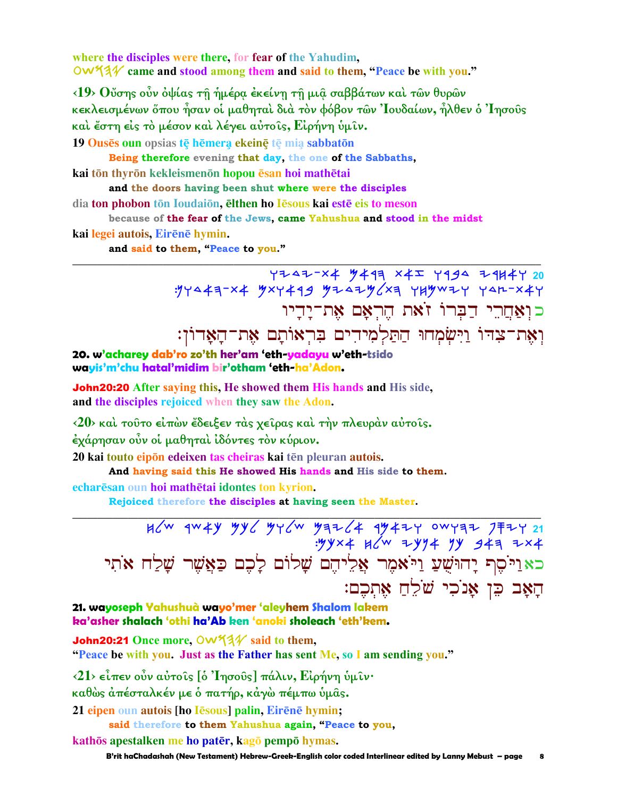where the disciples were there, for fear of the Yahudim, OW 44 came and stood among them and said to them, "Peace be with you."

<19> Ούσης ούν όψίας τη ήμέρα έκείνη τη μια σαββάτων και των θυρων κεκλεισμένων ὄπου ἦσαν οἱ μαθηταὶ διὰ τὸν φόβον τῶν Ἰουδαίων, ἦλθεν ὁ Ἰησοῦς και έστη είς το μέσον και λέγει αύτοις, Είρήνη υμιν.

19 Ouses oun opsias te hemera ekeine te mia sabbaton

Being therefore evening that day, the one of the Sabbaths,

kai tōn thyrōn kekleismenōn hopou ēsan hoi mathētai

and the doors having been shut where were the disciples

dia ton phobon tōn Ioudaiōn, elthen ho Iesous kai este eis to meson

because of the fear of the Jews, came Yahushua and stood in the midst

kai legei autois, Eirēnē hymin.

and said to them, "Peace to you."

YZ4Z-X4 M49R X4I Y994 Z9H4Y 20 : 17443-x4 "xxy449 "y+4+" x3 YH" x+ Y4+-x4Y כוִאַחֲרֵי דַבְּרוֹ זֹאת הֵרְאָם אֶת־יָדָיו וְאֶת־צִדּוֹ וַיִּשְׂמְחוּ הַתַּלְמִידִים בִּרְאוֹתָם אֵת־הַאַדוֹן:

20. w'acharey dab'ro zo'th her'am 'eth-yadayu w'eth-tsido wayis'm'chu hatal'midim bir'otham 'eth-ha'Adon.

John20:20 After saying this, He showed them His hands and His side, and the disciples rejoiced when they saw the Adon.

<20> και τούτο είπών έδειξεν τας χείρας και την πλευραν αύτοις. έχάρησαν οὖν οἱ μαθηταὶ ἰδόντες τὸν κύριον.

20 kai touto eipon edeixen tas cheiras kai tēn pleuran autois.

And having said this He showed His hands and His side to them.

echarēsan oun hoi mathētai idontes ton kyrion.

Rejoiced therefore the disciples at having seen the Master.

 $.99x + 46x + 3994$  943 7x4 כאַוַיֹּסֶף יָהוּשָׁעַ וַיֹּאמֶר אֱלִיהֶם שָׁלוֹם לַכֶם כַּאֲשֶׁר שַׁלַח אֹתִי הַאָב כֵּן אָנֹכִי שֹׁלֵהַ אֶתְכֶם:

21. wayoseph Yahushuà wayo'mer 'aleyhem Shalom lakem ka'asher shalach 'othi ha'Ab ken 'anoki sholeach 'eth'kem.

John20:21 Once more, OW534 said to them, "Peace be with you. Just as the Father has sent Me, so I am sending you."

<21> είπεν ούν αύτοις [ο 'Iησούς] πάλιν, Είρήνη υμιν·

καθώς άπέσταλκέν με ό πατήρ, κάγώ πέμπω ύμας.

21 eipen oun autois [ho Iesous] palin, Eirene hymin;

said therefore to them Yahushua again, "Peace to you,

kathōs apestalken me ho patēr, kagō pempō hymas.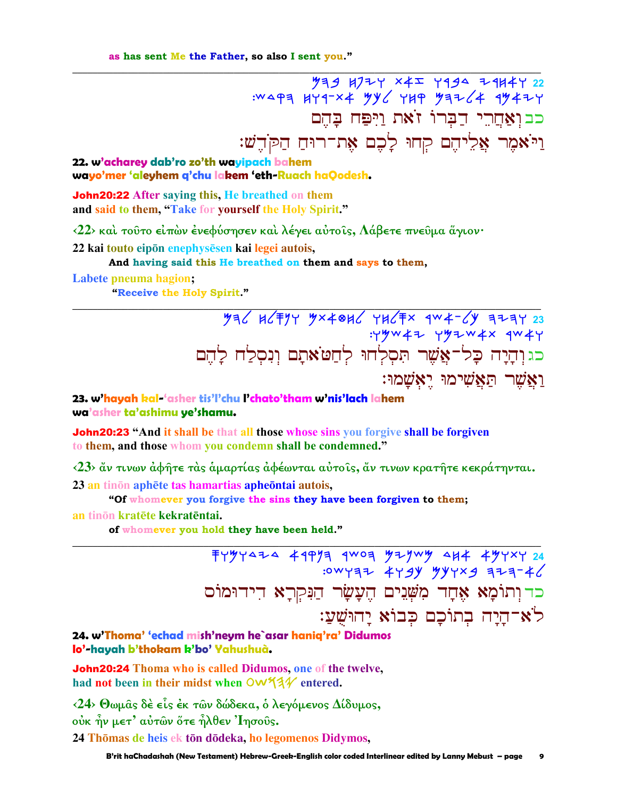52 4724 x42 4494 24444 22 :WAPA HYA-X4 YY / YHP YA7 /4 AY47Y כבואחרי דברו זאת ויפח בהם וַיֹּאמֶר אֱלֵיהֵם קִחוּ לַכֶם אֶת־רוּחַ הַקֹּהֵשׁ:

### 22. w'acharey dab'ro zo'th wayipach bahem wayo'mer 'aleyhem q'chu lakem 'eth-Ruach haQodesh.

**John20:22** After saying this, He breathed on them and said to them, "Take for yourself the Holy Spirit."

 $\langle 22 \rangle$  καὶ τοῦτο εἰπὼν ἐνεφύσησεν καὶ λέγει αὐτοῖς, Λάβετε πνεῦμα ἄγιον·

22 kai touto eipōn enephysēsen kai legei autois,

And having said this He breathed on them and says to them.

#### Labete pneuma hagion;

"Receive the Holy Spirit."

 $792$   $123$   $123$ :YYW47 YYZW4X JW4Y כגוְהָיָה כָּל־אֲשֶׁר תִּסְלְחוּ לְחַטֹּאתָם וִנִסְלַח לַהֵם <u>וַאֲשֶׁר הַאֲשִׁימוּ יֵאָשָׁמוּ</u>:

23. w'hayah kal-'asher tis'l'chu l'chato'tham w'nis'lach lahem wa'asher ta'ashimu ye'shamu.

**John20:23** "And it shall be that all those whose sins you forgive shall be forgiven to them, and those whom you condemn shall be condemned."

 $\langle 23 \rangle$  αν τινων αφήτε τας αμαρτίας αφέωνται αύτοις, αν τινων κρατήτε κεκράτηνται. 23 an tinon aphete tas hamartias apheontai autois,

"Of whomever you forgive the sins they have been forgiven to them;

#### an tinon kratēte kekratēntai.

of whomever you hold they have been held."

 $7497424$  4997 9 400 4724 444 49787 24 : OWYĘZ 4Y 9Y WYYX9 3Z3-46 כד וְתוֹמָא אֶחָד מִשָּׁנֵים הֵעֲשָׂר הַנִּקְרָא דִידוּמוֹס לֹא־הַיַה בִתוֹכָם כִּבוֹא יָהוּשָׁעַ:

### 24. w'Thoma' 'echad mish'neym he`asar haniq'ra' Didumos lo'-havah b'thokam k'bo' Yahushuà.

**John20:24** Thoma who is called Didumos, one of the twelve, had not been in their midst when OW534 entered.

 $\langle 24 \rangle$  Θωμα̂ς δέ είς έκ των δώδεκα, ο λεγόμενος Δίδυμος, ούκ ην μετ' αύτων ὅτε ηλθεν 'Ιησούς. 24 Thōmas de heis ek tōn dōdeka, ho legomenos Didymos,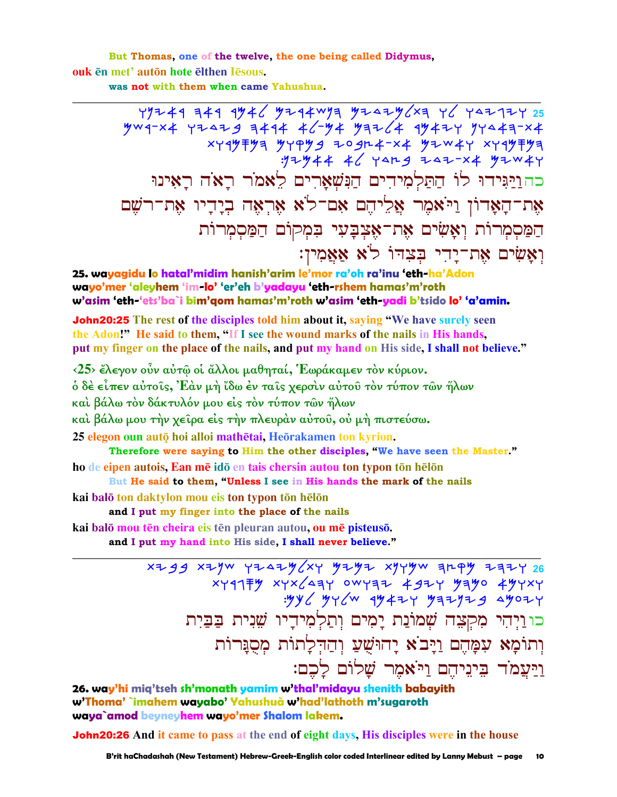But Thomas, one of the twelve, the one being called Didymus, ouk en met' auton hote elthen Iesous.

was not with them when came Yahushua.

 $Y$ 19249 349 9346 3244wya 324236xa 46 442124 25  $704 - x4 + 72429 = 9444 + 644 + 99764 + 9942 + 9744 + 9744$  $x + 4$ クキクヨ クィアクタ ものタルキー×キ クシッキャ ×イイクキクヨ :172944 46 YAR9 747-X4 97W4Y כהוַיַּגִּידוּ לוֹ הַתַּלְמְידִים הַנִּשְׁאֲרִים לֵאמֹר רַאֹה רַאִינוּ אֶת־הַאֲדוֹן וַיֹּאמֶר אֱלֵיהֶם אָם־לֹא אֶרְאֶה בְיַדִיו אֶת־רֹשֵׁם הַמַּסִמְרוֹת וָאָשִׂים אֶת־אָצְבָעִי בִּמְקוֹם הַמַּסִמְרוֹת וְאֲשִׂים אֶת־יַדִי בִּצְדוֹ לֹא אָאֲמִין:

25. wayagidu lo hatal'midim hanish'arim le'mor ra'oh ra'inu 'eth-ha'Adon wayo'mer 'aleyhem 'im-lo' 'er'eh b'yadayu 'eth-rshem hamas'm'roth w'asim 'eth-'ets'ba`i bim'qom hamas'm'roth w'asim 'eth-yadi b'tsido lo' 'a'amin.

**John20:25** The rest of the disciples told him about it, saying "We have surely seen the Adon!" He said to them, "If I see the wound marks of the nails in His hands. put my finger on the place of the nails, and put my hand on His side, I shall not believe."

<25> έλεγον οὖν αὐτῶ οἱ ἄλλοι μαθηταί, Εωράκαμεν τὸν κύριον.

ό δὲ εἶπεν αὐτοῖς, Ἐὰν μὴ ἴδω ἐν ταῖς χερσὶν αὐτοῦ τὸν τύπον τῶν ἤλων

καὶ βάλω τὸν δάκτυλόν μου εἰς τὸν τύπον τῶν ἥλων

καὶ βάλω μου τὴν χεῖρα εἰς τὴν πλευρὰν αὐτοῦ, οὐ μὴ πιστεύσω.

25 elegon oun autō hoi alloi mathētai, Heōrakamen ton kyrion.

Therefore were saying to Him the other disciples, "We have seen the Master." ho de eipen autois, Ean mē idō en tais chersin autou ton typon tōn hēlōn

But He said to them, "Unless I see in His hands the mark of the nails

kai balō ton daktylon mou eis ton typon tōn hēlōn

and I put my finger into the place of the nails

kai balō mou tēn cheira eis tēn pleuran autou, ou mē pisteusō.

and I put my hand into His side, I shall never believe."

 $x + 99$  x2yw y242y xy y2y2 xyyyw arpy 242y 26  $x + 4177$   $x + x$   $x - 47$   $y - 47$   $x - 47$   $x - 47$   $x - 47$   $x - 47$   $x - 47$   $x - 17$   $x - 17$   $x - 17$   $x - 17$   $x - 17$   $x - 17$   $x - 17$   $x - 17$   $x - 17$   $x - 17$   $x - 17$   $x - 17$   $x - 17$   $x - 17$   $x - 17$   $x - 17$   $x - 17$   $x - 17$   $x - 1$  $.996$  gyc/w  $4947$  gaiging agozy כו וַיְהִי מִקְצָה שָׁמוֹנַת יַמִים וְתַלְמִידֵיו שֵׁנִית בַּבַּיִת וְתוֹמָא עִמָּהֵם וַיָּבֹא יַהוּשֻׁעַ וְהַדְּלַתוֹת מִסְנַּרוֹת וַיַּעֲמֹד בִּינֵיהֵם וַיֹּאמֶר שַׁלוֹם לַכֶם:

26. way'hi mig'tseh sh'monath yamim w'thal'midayu shenith babayith w'Thoma' `imahem wayabo' Yahushuà w'had'lathoth m'sugaroth waya`amod beyneyhem wayo'mer Shalom lakem.

**John20:26** And it came to pass at the end of eight days, His disciples were in the house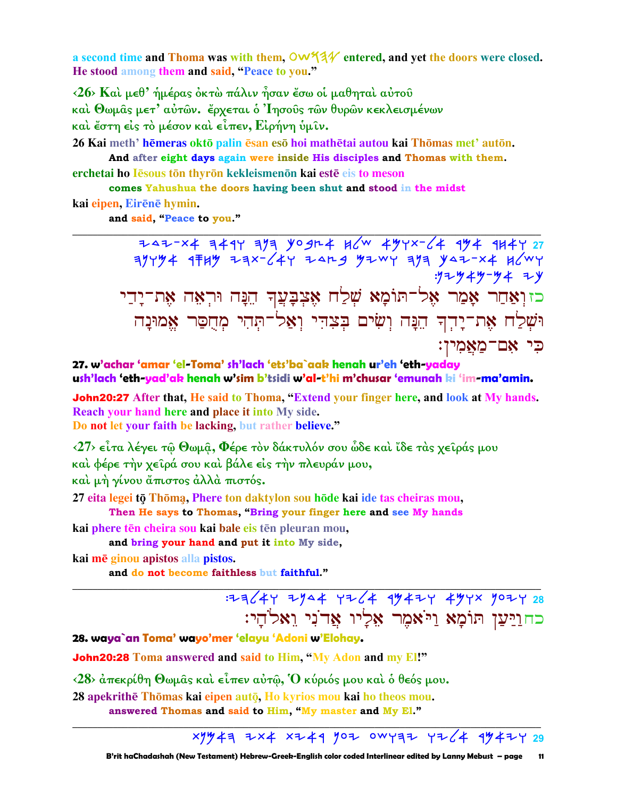a second time and Thoma was with them,  $\mathsf{OW44V}$  entered, and yet the doors were closed. He stood among them and said, "Peace to you."

<26> Και μεθ' ήμέρας όκτω πάλιν ήσαν έσω οι μαθηται αύτου καί Θωμας μετ' αύτων. έρχεται ό Ίησους των θυρων κεκλεισμένων καὶ ἔστη εἰς τὸ μέσον καὶ εἶπεν, Εἰρήνη ὑμῖν.

26 Kai meth' hēmeras oktō palin ēsan esō hoi mathētai autou kai Thōmas met' autōn. And after eight days again were inside His disciples and Thomas with them.

erchetai ho Iesous tōn thyrōn kekleismenōn kai estē eis to meson

comes Yahushua the doors having been shut and stood in the midst kai eipen, Eirēnē hymin.

and said, "Peace to you."

 $7447-x4$  3494 3/3 yogr4 k/w 494x-/4 994 91447 27  $77794$   $1789$   $77724$   $147$   $1479$   $1479$   $1499$   $1497$   $147$ :ツマーツヰツーツヰ マーy כזוְאַחַר אָמַר אֶל־תּוֹמָא שָׁלַח אֶצְבָּעֲךָ הֵנָּה וּרִאָה אָת־יַדֵי וּשָׁלַח אָת־יַרִדְ הֵנָּה וִשִׂים בִּצְדִי וְאַל־תְּהִי מְחֻסַר אֶמוּנָה כִּי אָם־מַאֲמִין:

27. w'achar 'amar 'el-Toma' sh'lach 'ets'ba`aak henah ur'eh 'eth-yaday ush'lach 'eth-yad'ak henah w'sim b'tsidi w'al-t'hi m'chusar 'emunah ki 'im-ma'amin.

**John20:27** After that, He said to Thoma, "Extend your finger here, and look at My hands. Reach your hand here and place it into My side. Do not let your faith be lacking, but rather believe."

 $\langle 27 \rangle$  εἶτα λέγει τῷ Θωμậ, Φέρε τὸν δάκτυλόν σου ὦδε καὶ ἴδε τὰς χεῖράς μου καὶ φέρε τὴν χεῖρά σου καὶ βάλε εἰς τὴν πλευράν μου, καί μή γίνου άπιστος άλλά πιστός.

27 eita legei tō Thōmą, Phere ton daktylon sou hōde kai ide tas cheiras mou, Then He says to Thomas, "Bring your finger here and see My hands

kai phere tēn cheira sou kai bale eis tēn pleuran mou,

and bring your hand and put it into My side,

kai mē ginou apistos alla pistos.

and do not become faithless but faithful."

כחוַיַּעֲן תּוֹמֵא וַיֹּאמֶר אָלְיו אַדוֹנִי וַאלֹהֵי:

28. waya`an Toma' wayo'mer 'elayu 'Adoni w'Elohay.

**John20:28** Toma answered and said to Him, "My Adon and my El!"

 $\langle 28 \rangle$  άπεκρίθη Θωμας και είπεν αύτω, Ο κύριός μου και ο θεός μου.

28 apekrithē Thomas kai eipen auto, Ho kyrios mou kai ho theos mou. answered Thomas and said to Him, "My master and My El."

 $x$ 1943 ZX4 XZ49 YOZ OWY3Z YZ 494ZY 29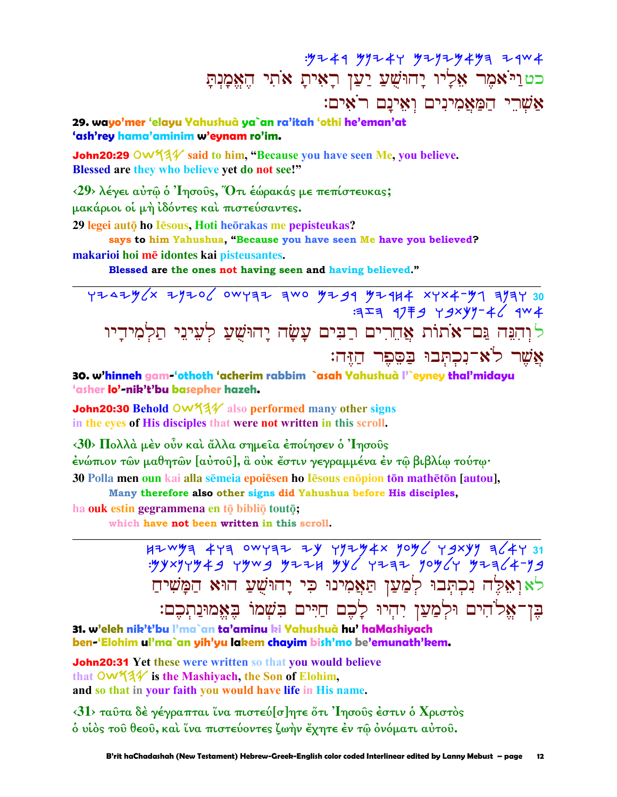## : 92 4 9 9 9 2 4 9 9 2 9 2 9 4 9 3 4 9 0 4 כטוַיֹּאמֶר אֶלְיו יָהוּשָׁעַ יַעַן רָאִיתָ אֹתִי הֵאֵמָנִתָּ אֲשֶׁרֵי הַמַּאֲמִינִים וְאִינַם רֹאִים:

29. wayo'mer 'elayu Yahushuà ya`an ra'itah 'othi he'eman'at 'ash'rey hama'aminim w'eynam ro'im.

**John20:29**  $\circlearrowleft\sqrt{34}$  said to him, "Because you have seen Me, you believe. Blessed are they who believe yet do not see!"

<29> λέγει αύτω ο 'Iησούς, Ότι εώρακάς με πεπίστευκας; μακάριοι οι μή ιδόντες και πιστεύσαντες. 29 legei autō ho Iēsous, Hoti heōrakas me pepisteukas?

says to him Yahushua, "Because you have seen Me have you believed? makarioi hoi mē idontes kai pisteusantes.

Blessed are the ones not having seen and having believed."

YZAZY(x ZYZO OWYAZ AWO YZJA YZAK XYX4-Y1 AYAY 30  $1377$   $2779$   $29 \times 997 - 46$   $304$ לוִהְגָּה גַּם־אֹתוֹת אֲחֶרִים רַבִּים עָשָׂה יָהוּשָׁעַ לְעֵינֵי תַלְמִידָיו אַשר לֹא־נִכְתְּבוּ בַּסֶּפֶר הַזֶּה:

30. w'hinneh gam 'othoth 'acherim rabbim `asah Yahushuà l'`eyney thal'midayu 'asher lo'-nik't'bu basepher hazeh.

**John20:30 Behold OW 43** also performed many other signs in the eyes of His disciples that were not written in this scroll.

<30> Πολλά μέν οὖν καί ἄλλα σημεία έποίησεν ο Ίησους ένώπιον τῶν μαθητῶν [αὐτοῦ], ἃ οὐκ ἔστιν γεγραμμένα ἐν τῷ βιβλίῳ τούτῳ· 30 Polla men oun kai alla semeia epoiesen ho lesous enopion ton matheton [autou],

Many therefore also other signs did Yahushua before His disciples,

ha ouk estin gegrammena en tō bibliō toutō;

which have not been written in this scroll.

לאואלה נכתבו למען תאמינו כי יהושע הוא המשיח בֶּן־אֱלֹהִים וּלְמַעֲן יִהִיוּ לָבֶם חַיִּים בִּשָׁמוֹ בָּאֱמוּנַתְבֶם:

31. w'eleh nik't'bu l'ma`an ta'aminu ki Yahushuà hu' haMashiyach ben-'Elohim ul'ma`an yih'yu lakem chayim bish'mo be'emunath'kem.

**John20:31** Yet these were written so that you would believe that  $\overline{OW44}$  is the Mashivach, the Son of Elohim. and so that in your faith you would have life in His name.

<31> ταύτα δέ γέγραπται ίνα πιστεύ[σ]ητε ότι 'Iησούς έστιν ο Χριστός δ υίδς του θεου, και ίνα πιστεύοντες ζωήν έχητε έν τω ονόματι αύτου.